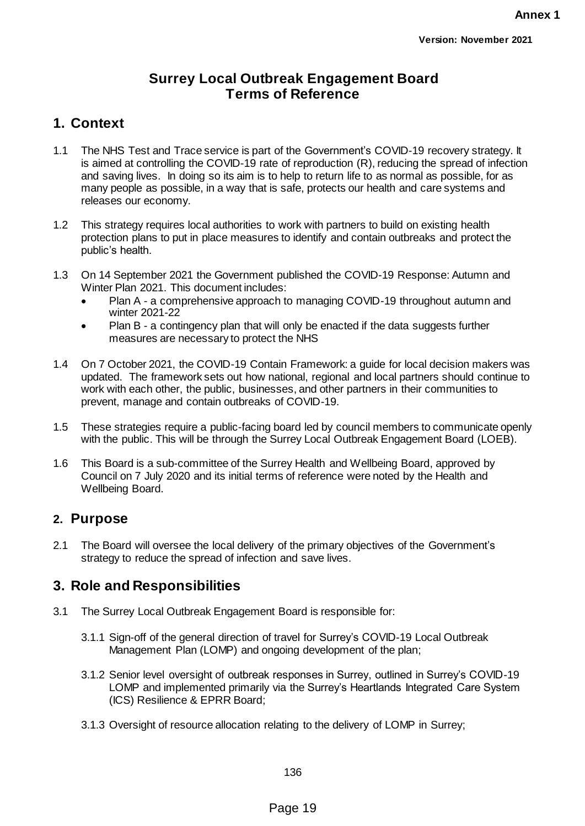## **Surrey Local Outbreak Engagement Board Terms of Reference**

# **1. Context**

- 1.1 The NHS Test and Trace service is part of the Government's COVID-19 recovery strategy. It is aimed at controlling the COVID-19 rate of reproduction (R), reducing the spread of infection and saving lives. In doing so its aim is to help to return life to as normal as possible, for as many people as possible, in a way that is safe, protects our health and care systems and releases our economy.
- 1.2 This strategy requires local authorities to work with partners to build on existing health protection plans to put in place measures to identify and contain outbreaks and protect the public's health.
- 1.3 On 14 September 2021 the Government published the [COVID-19 Response: Autumn and](https://www.gov.uk/government/publications/covid-19-response-autumn-and-winter-plan-2021)  [Winter Plan 2021.](https://www.gov.uk/government/publications/covid-19-response-autumn-and-winter-plan-2021) This document includes:
	- Plan A a comprehensive approach to managing COVID-19 throughout autumn and winter 2021-22
	- Plan B a contingency plan that will only be enacted if the data suggests further measures are necessary to protect the NHS
- 1.4 On 7 October 2021, the COVID-19 Contain Framework: a guide for local decision makers was updated. The framework sets out how national, regional and local partners should continue to work with each other, the public, businesses, and other partners in their communities to prevent, manage and contain outbreaks of COVID-19.
- 1.5 These strategies require a public-facing board led by council members to communicate openly with the public. This will be through the Surrey Local Outbreak Engagement Board (LOEB).
- 1.6 This Board is a sub-committee of the Surrey Health and Wellbeing Board, approved by Council on 7 July 2020 and its initial terms of reference were noted by the Health and Wellbeing Board.

## **2. Purpose**

2.1 The Board will oversee the local delivery of the primary objectives of the Government's strategy to reduce the spread of infection and save lives.

## **3. Role and Responsibilities**

- 3.1 The Surrey Local Outbreak Engagement Board is responsible for:
	- 3.1.1 Sign-off of the general direction of travel for Surrey's COVID-19 Local Outbreak Management Plan (LOMP) and ongoing development of the plan;
	- 3.1.2 Senior level oversight of outbreak responses in Surrey, outlined in Surrey's COVID-19 LOMP and implemented primarily via the Surrey's Heartlands Integrated Care System (ICS) Resilience & EPRR Board;
	- 3.1.3 Oversight of resource allocation relating to the delivery of LOMP in Surrey;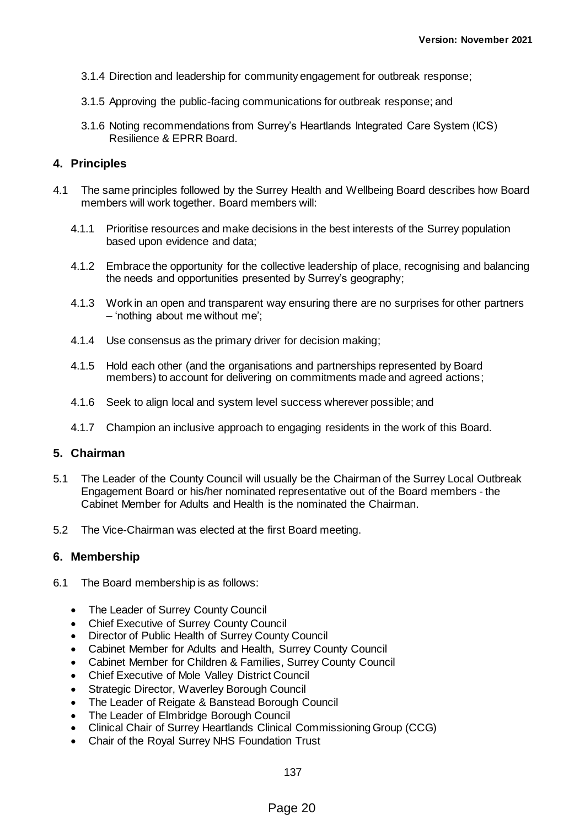- 3.1.4 Direction and leadership for community engagement for outbreak response;
- 3.1.5 Approving the public-facing communications for outbreak response; and
- 3.1.6 Noting recommendations from Surrey's Heartlands Integrated Care System (ICS) Resilience & EPRR Board.

### **4. Principles**

- 4.1 The same principles followed by the Surrey Health and Wellbeing Board describes how Board members will work together. Board members will:
	- 4.1.1 Prioritise resources and make decisions in the best interests of the Surrey population based upon evidence and data;
	- 4.1.2 Embrace the opportunity for the collective leadership of place, recognising and balancing the needs and opportunities presented by Surrey's geography;
	- 4.1.3 Work in an open and transparent way ensuring there are no surprises for other partners – 'nothing about me without me';
	- 4.1.4 Use consensus as the primary driver for decision making;
	- 4.1.5 Hold each other (and the organisations and partnerships represented by Board members) to account for delivering on commitments made and agreed actions;
	- 4.1.6 Seek to align local and system level success wherever possible; and
	- 4.1.7 Champion an inclusive approach to engaging residents in the work of this Board.

### **5. Chairman**

- 5.1 The Leader of the County Council will usually be the Chairman of the Surrey Local Outbreak Engagement Board or his/her nominated representative out of the Board members - the Cabinet Member for Adults and Health is the nominated the Chairman.
- 5.2 The Vice-Chairman was elected at the first Board meeting.

#### **6. Membership**

- 6.1 The Board membership is as follows:
	- The Leader of Surrey County Council
	- Chief Executive of Surrey County Council
	- Director of Public Health of Surrey County Council
	- Cabinet Member for Adults and Health, Surrey County Council
	- Cabinet Member for Children & Families, Surrey County Council
	- Chief Executive of Mole Valley District Council
	- Strategic Director, Waverley Borough Council
	- The Leader of Reigate & Banstead Borough Council
	- The Leader of Elmbridge Borough Council
	- Clinical Chair of Surrey Heartlands Clinical Commissioning Group (CCG)
	- Chair of the Royal Surrey NHS Foundation Trust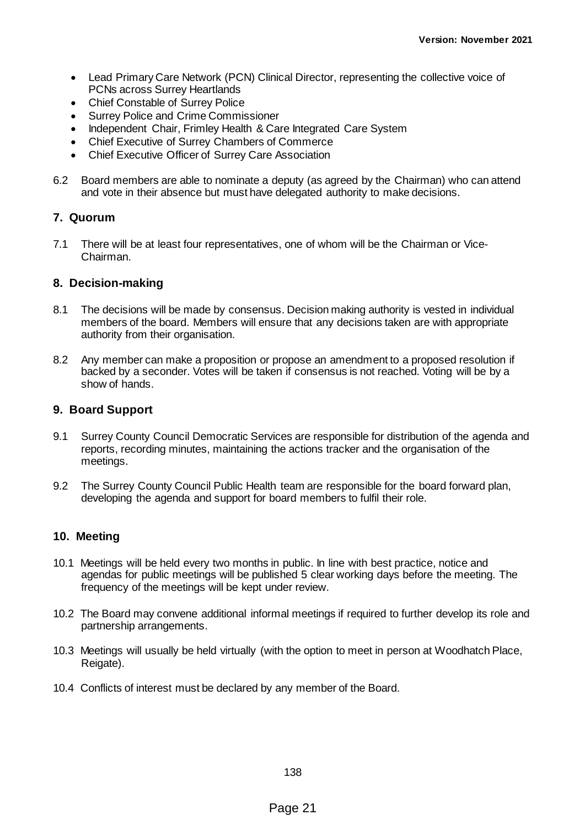- Lead Primary Care Network (PCN) Clinical Director, representing the collective voice of PCNs across Surrey Heartlands
- Chief Constable of Surrey Police
- Surrey Police and Crime Commissioner
- Independent Chair, Frimley Health & Care Integrated Care System
- Chief Executive of Surrey Chambers of Commerce
- Chief Executive Officer of Surrey Care Association
- 6.2 Board members are able to nominate a deputy (as agreed by the Chairman) who can attend and vote in their absence but must have delegated authority to make decisions.

### **7. Quorum**

7.1 There will be at least four representatives, one of whom will be the Chairman or Vice-Chairman.

#### **8. Decision-making**

- 8.1 The decisions will be made by consensus. Decision making authority is vested in individual members of the board. Members will ensure that any decisions taken are with appropriate authority from their organisation.
- 8.2 Any member can make a proposition or propose an amendment to a proposed resolution if backed by a seconder. Votes will be taken if consensus is not reached. Voting will be by a show of hands.

### **9. Board Support**

- 9.1 Surrey County Council Democratic Services are responsible for distribution of the agenda and reports, recording minutes, maintaining the actions tracker and the organisation of the meetings.
- 9.2 The Surrey County Council Public Health team are responsible for the board forward plan, developing the agenda and support for board members to fulfil their role.

### **10. Meeting**

- 10.1 Meetings will be held every two months in public. In line with best practice, notice and agendas for public meetings will be published 5 clear working days before the meeting. The frequency of the meetings will be kept under review.
- 10.2 The Board may convene additional informal meetings if required to further develop its role and partnership arrangements.
- 10.3 Meetings will usually be held virtually (with the option to meet in person at Woodhatch Place, Reigate).
- 10.4 Conflicts of interest must be declared by any member of the Board.